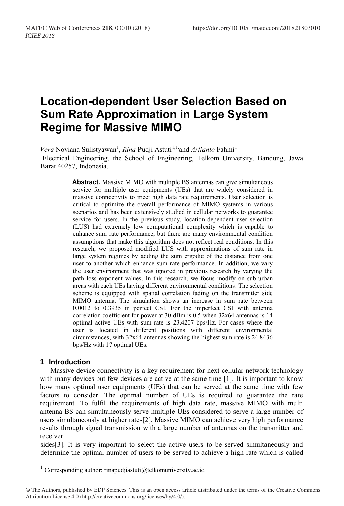# **Location-dependent User Selection Based on Sum Rate Approximation in Large System Regime for Massive MIMO**

Vera Noviana Sulistyawan<sup>1</sup>, *Rina* Pudji Astuti<sup>1,1,</sup> and *Arfianto* Fahmi<sup>1</sup> <sup>1</sup>Electrical Engineering, the School of Engineering, Telkom University. Bandung, Jawa Barat 40257, Indonesia.

> **Abstract.** Massive MIMO with multiple BS antennas can give simultaneous service for multiple user equipments (UEs) that are widely considered in massive connectivity to meet high data rate requirements. User selection is critical to optimize the overall performance of MIMO systems in various scenarios and has been extensively studied in cellular networks to guarantee service for users. In the previous study, location-dependent user selection (LUS) had extremely low computational complexity which is capable to enhance sum rate performance, but there are many environmental condition assumptions that make this algorithm does not reflect real conditions. In this research, we proposed modified LUS with approximations of sum rate in large system regimes by adding the sum ergodic of the distance from one user to another which enhance sum rate performance. In addition, we vary the user environment that was ignored in previous research by varying the path loss exponent values. In this research, we focus modify on sub-urban areas with each UEs having different environmental conditions. The selection scheme is equipped with spatial correlation fading on the transmitter side MIMO antenna. The simulation shows an increase in sum rate between 0.0012 to 0.3935 in perfect CSI. For the imperfect CSI with antenna correlation coefficient for power at 30 dBm is 0.5 when 32x64 antennas is 14 optimal active UEs with sum rate is 23.4207 bps/Hz. For cases where the user is located in different positions with different environmental circumstances, with 32x64 antennas showing the highest sum rate is 24.8436 bps/Hz with 17 optimal UEs.

## **1 Introduction**

Massive device connectivity is a key requirement for next cellular network technology with many devices but few devices are active at the same time [1]. It is important to know how many optimal user equipments (UEs) that can be served at the same time with few factors to consider. The optimal number of UEs is required to guarantee the rate requirement. To fulfil the requirements of high data rate, massive MIMO with multi antenna BS can simultaneously serve multiple UEs considered to serve a large number of users simultaneously at higher rates[2]. Massive MIMO can achieve very high performance results through signal transmission with a large number of antennas on the transmitter and receiver

sides[3]. It is very important to select the active users to be served simultaneously and determine the optimal number of users to be served to achieve a high rate which is called

<sup>&</sup>lt;sup>1</sup> Corresponding author: rinapudjiastuti@telkomuniversity.ac.id

<sup>©</sup> The Authors, published by EDP Sciences. This is an open access article distributed under the terms of the Creative Commons Attribution License 4.0 (http://creativecommons.org/licenses/by/4.0/).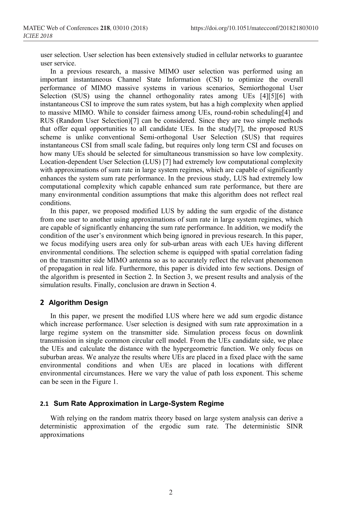user selection. User selection has been extensively studied in cellular networks to guarantee user service.

In a previous research, a massive MIMO user selection was performed using an important instantaneous Channel State Information (CSI) to optimize the overall performance of MIMO massive systems in various scenarios, Semiorthogonal User Selection (SUS) using the channel orthogonality rates among UEs [4][5][6] with instantaneous CSI to improve the sum rates system, but has a high complexity when applied to massive MIMO. While to consider fairness among UEs, round-robin scheduling[4] and RUS (Random User Selection)[7] can be considered. Since they are two simple methods that offer equal opportunities to all candidate UEs. In the study[7], the proposed RUS scheme is unlike conventional Semi-orthogonal User Selection (SUS) that requires instantaneous CSI from small scale fading, but requires only long term CSI and focuses on how many UEs should be selected for simultaneous transmission so have low complexity. Location-dependent User Selection (LUS) [7] had extremely low computational complexity with approximations of sum rate in large system regimes, which are capable of significantly enhances the system sum rate performance. In the previous study, LUS had extremely low computational complexity which capable enhanced sum rate performance, but there are many environmental condition assumptions that make this algorithm does not reflect real conditions.

In this paper, we proposed modified LUS by adding the sum ergodic of the distance from one user to another using approximations of sum rate in large system regimes, which are capable of significantly enhancing the sum rate performance. In addition, we modify the condition of the user's environment which being ignored in previous research. In this paper, we focus modifying users area only for sub-urban areas with each UEs having different environmental conditions. The selection scheme is equipped with spatial correlation fading on the transmitter side MIMO antenna so as to accurately reflect the relevant phenomenon of propagation in real life. Furthermore, this paper is divided into few sections. Design of the algorithm is presented in Section 2. In Section 3, we present results and analysis of the simulation results. Finally, conclusion are drawn in Section 4.

# **2 Algorithm Design**

In this paper, we present the modified LUS where here we add sum ergodic distance which increase performance. User selection is designed with sum rate approximation in a large regime system on the transmitter side. Simulation process focus on downlink transmission in single common circular cell model. From the UEs candidate side, we place the UEs and calculate the distance with the hypergeometric function. We only focus on suburban areas. We analyze the results where UEs are placed in a fixed place with the same environmental conditions and when UEs are placed in locations with different environmental circumstances. Here we vary the value of path loss exponent. This scheme can be seen in the Figure 1.

#### **2.1 Sum Rate Approximation in Large-System Regime**

With relying on the random matrix theory based on large system analysis can derive a deterministic approximation of the ergodic sum rate. The deterministic SINR approximations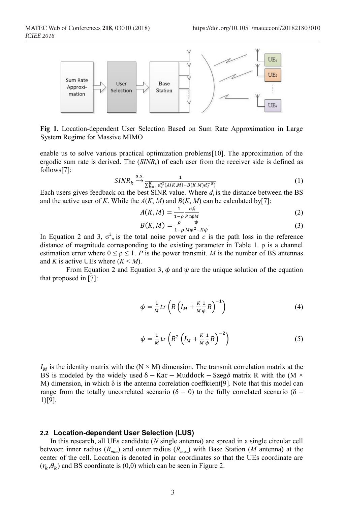

**Fig 1.** Location-dependent User Selection Based on Sum Rate Approximation in Large System Regime for Massive MIMO

enable us to solve various practical optimization problems[10]. The approximation of the ergodic sum rate is derived. The  $(SINR<sub>k</sub>)$  of each user from the receiver side is defined as follows[7]:

$$
SINR_k \xrightarrow{\alpha.s.} \frac{1}{\sum_{k=1}^K d_i^{\alpha}(A(K,M) + B(K,M)d_i^{-\alpha})}
$$
(1)

Each users gives feedback on the best SINR value. Where  $d_i$  is the distance between the BS and the active user of *K*. While the  $A(K, M)$  and  $B(K, M)$  can be calculated by [7]:

$$
A(K,M) = \frac{1}{1-\rho} \frac{\sigma_n^2}{Pc\phi M}
$$
 (2)

$$
B(K,M) = \frac{\rho}{1-\rho} \frac{\psi}{M\phi^2 - K\psi}
$$
 (3)

In Equation 2 and 3,  $\sigma_n^2$  is the total noise power and *c* is the path loss in the reference distance of magnitude corresponding to the existing parameter in Table 1.  $\rho$  is a channel estimation error where  $0 \le \rho \le 1$ . *P* is the power transmit. *M* is the number of BS antennas and *K* is active UEs where  $(K \le M)$ .

From Equation 2 and Equation 3,  $\phi$  and  $\psi$  are the unique solution of the equation that proposed in [7]:

$$
\phi = \frac{1}{M} tr \left( R \left( I_M + \frac{K}{M} \frac{1}{\phi} R \right)^{-1} \right) \tag{4}
$$

$$
\psi = \frac{1}{M} tr \left( R^2 \left( I_M + \frac{K}{M} \frac{1}{\phi} R \right)^{-2} \right) \tag{5}
$$

 $I_M$  is the identity matrix with the (N  $\times$  M) dimension. The transmit correlation matrix at the BS is modeled by the widely used  $\delta -$  Kac – Muddock – Szegö matrix R with the (M  $\times$ M) dimension, in which  $\delta$  is the antenna correlation coefficient[9]. Note that this model can range from the totally uncorrelated scenario ( $\delta = 0$ ) to the fully correlated scenario ( $\delta = 0$ ) 1)[9].

#### **2.2 Location-dependent User Selection (LUS)**

In this research, all UEs candidate (*N* single antenna) are spread in a single circular cell between inner radius (*Rmin*) and outer radius (*Rmax*) with Base Station (*M* antenna) at the center of the cell. Location is denoted in polar coordinates so that the UEs coordinate are  $(r_k, \theta_k)$  and BS coordinate is (0,0) which can be seen in Figure 2.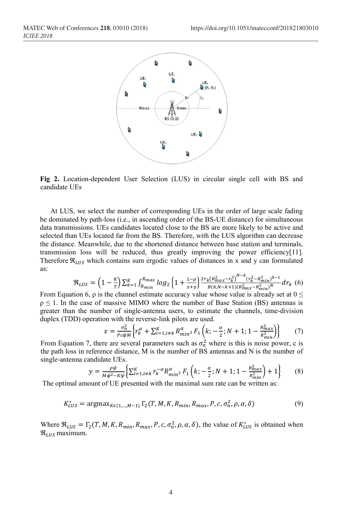

**Fig 2.** Location-dependent User Selection (LUS) in circular single cell with BS and candidate UEs

At LUS, we select the number of corresponding UEs in the order of large scale fading be dominated by path-loss (i.e., in ascending order of the BS-UE distance) for simultaneous data transmissions. UEs candidates located close to the BS are more likely to be active and selected than UEs located far from the BS. Therefore, with the LUS algorithm can decrease the distance. Meanwhile, due to the shortened distance between base station and terminals, transmission loss will be reduced, thus greatly improving the power efficiency[11]. Therefore  $\mathfrak{R}_{LUS}$  which contains sum ergodic values of distances in x and y can formulated as:

$$
\mathfrak{R}_{LUS} = \left(1 - \frac{\kappa}{T}\right) \sum_{k=1}^{K} \int_{R_{min}}^{R_{max}} \log_2 \left\{1 + \frac{1-\rho}{x+y}\right\} \frac{2r_k (R_{max}^2 - r_k^2)^{N-\kappa} (r_k^2 - R_{min}^2)^{k-1}}{B(k, N - k + 1)(R_{max}^2 - R_{min}^2)^N} dr_k \tag{6}
$$

From Equation 6,  $\rho$  is the channel estimate accuracy value whose value is already set at  $0 \leq$  $\rho \leq 1$ . In the case of massive MIMO where the number of Base Station (BS) antennas is greater than the number of single-antenna users, to estimate the channels, time-division duplex (TDD) operation with the reverse-link pilots are used.

$$
x = \frac{\sigma_n^2}{Pc\phi M} \Big\{ r_k^{\alpha} + \sum_{i=1, i \neq k}^K R_{min}^{\alpha} F_1 \Big( k; -\frac{\alpha}{2}; N+1; 1 - \frac{R_{max}^2}{R_{min}^2} \Big) \Big\} \tag{7}
$$

From Equation 7, there are several parameters such as  $\sigma_n^2$  where is this is noise power, c is the path loss in reference distance, M is the number of BS antennas and N is the number of single-antenna candidate UEs.

$$
y = \frac{\rho \psi}{M\phi^2 - K\psi} \Biggl\{ \sum_{i=1, i \neq k}^{K} r_k^{-\alpha} R_{min^2}^{\alpha} F_1 \left( k; -\frac{\alpha}{2}; N+1; 1 - \frac{R_{max}^2}{R_{min}^2} \right) + 1 \Biggr\} \tag{8}
$$

The optimal amount of UE presented with the maximal sum rate can be written as:

$$
K_{LUS}^* = \operatorname{argmax}_{K\in(1,\dots,M-1)} \Gamma_2(T,M,K,R_{min},R_{max},P,c,\sigma_n^2,\rho,\alpha,\delta)
$$
(9)

Where  $\mathcal{R}_{LUS} = \Gamma_2(T, M, K, R_{min}, R_{max}, P, c, \sigma_n^2, \rho, \alpha, \delta)$ , the value of  $K_{LUS}^*$  is obtained when  $\Re_{LUS}$  maximum.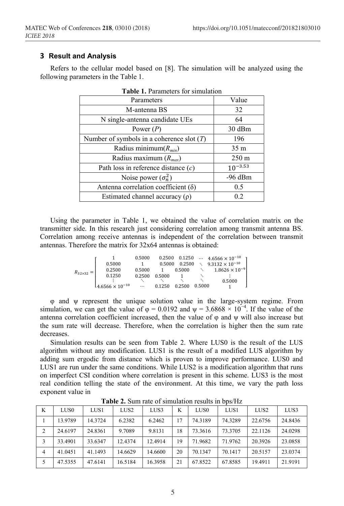# **3 Result and Analysis**

Refers to the cellular model based on [8]. The simulation will be analyzed using the following parameters in the Table 1.

| Parameters                                  | Value           |
|---------------------------------------------|-----------------|
| M-antenna BS                                | 32              |
| N single-antenna candidate UEs              | 64              |
| Power $(P)$                                 | 30 dBm          |
| Number of symbols in a coherence slot $(T)$ | 196             |
| Radius minimum $(R_{min})$                  | 35 <sub>m</sub> |
| Radius maximum $(R_{max})$                  | $250 \text{ m}$ |
| Path loss in reference distance $(c)$       | $10^{-3.53}$    |
| Noise power $(\sigma_n^2)$                  | $-96$ dBm       |
| Antenna correlation coefficient $(\delta)$  | 0.5             |
| Estimated channel accuracy $(\rho)$         | 0.2             |

| <b>Table 1.</b> Parameters for simulation |  |  |
|-------------------------------------------|--|--|
|                                           |  |  |

Using the parameter in Table 1, we obtained the value of correlation matrix on the transmitter side. In this research just considering correlation among transmit antenna BS. Correlation among receive antennas is independent of the correlation between transmit antennas. Therefore the matrix for 32x64 antennas is obtained:

|                    |                          | 0.5000   | 0.2500 |        |        | $0.1250 \quad \cdots \quad 4.6566 \times 10^{-10}$ |
|--------------------|--------------------------|----------|--------|--------|--------|----------------------------------------------------|
| $R_{32\times32} =$ | 0.5000                   |          | 0.5000 | 0.2500 |        | $\therefore$ 9.3132 $\times$ 10 <sup>-10</sup>     |
|                    | 0.2500                   | 0.5000   |        | 0.5000 | A.     | $1.8626 \times 10^{-9}$                            |
|                    | 0.1250                   | 0.2500   | 0.5000 |        |        |                                                    |
|                    |                          |          |        |        |        | 0.5000                                             |
|                    | $4.6566 \times 10^{-10}$ | $\cdots$ | 0.1250 | 0.2500 | 0.5000 |                                                    |

φ and ψ represent the unique solution value in the large-system regime. From simulation, we can get the value of  $\varphi = 0.0192$  and  $\psi = 3.6868 \times 10^{-4}$ . If the value of the antenna correlation coefficient increased, then the value of  $\varphi$  and  $\psi$  will also increase but the sum rate will decrease. Therefore, when the correlation is higher then the sum rate decreases.

Simulation results can be seen from Table 2. Where LUS0 is the result of the LUS algorithm without any modification. LUS1 is the result of a modified LUS algorithm by adding sum ergodic from distance which is proven to improve performance. LUS0 and LUS1 are run under the same conditions. While LUS2 is a modification algorithm that runs on imperfect CSI condition where correlation is present in this scheme. LUS3 is the most real condition telling the state of the environment. At this time, we vary the path loss exponent value in

| K | LUS <sub>0</sub> | LUS1    | LUS <sub>2</sub> | LUS3    | K  | LUS <sub>0</sub> | LUS <sub>1</sub> | LUS <sub>2</sub> | LUS3    |
|---|------------------|---------|------------------|---------|----|------------------|------------------|------------------|---------|
|   | 13.9789          | 14.3724 | 6.2382           | 6.2462  | 17 | 74.3189          | 74.3289          | 22.6756          | 24.8436 |
| 2 | 24.6197          | 24.8361 | 9.7089           | 9.8131  | 18 | 73.3616          | 73.3705          | 22.1126          | 24.0298 |
|   | 33.4901          | 33.6347 | 12.4374          | 12.4914 | 19 | 71.9682          | 71.9762          | 20.3926          | 23.0858 |
| 4 | 41.0451          | 41.1493 | 14.6629          | 14.6600 | 20 | 70.1347          | 70.1417          | 20.5157          | 23.0374 |
|   | 47.5355          | 47.6141 | 16.5184          | 16.3958 | 21 | 67.8522          | 67.8585          | 19.4911          | 21.9191 |

**Table 2.** Sum rate of simulation results in bps/Hz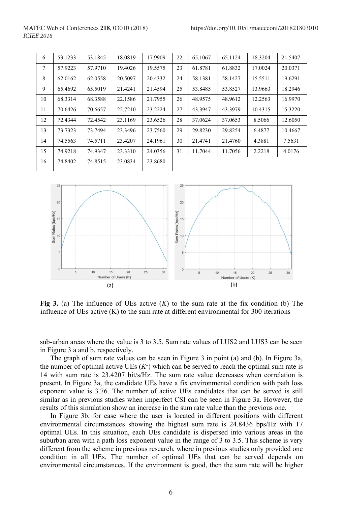| 6  | 53.1233 | 53.1845 | 18.0819 | 17.9909 | 22 | 65.1067 | 65.1124 | 18.3204 | 21.5407 |
|----|---------|---------|---------|---------|----|---------|---------|---------|---------|
| 7  | 57.9223 | 57.9710 | 19.4026 | 19.5575 | 23 | 61.8781 | 61.8832 | 17.0024 | 20.0371 |
| 8  | 62.0162 | 62.0558 | 20.5097 | 20.4332 | 24 | 58.1381 | 58.1427 | 15.5511 | 19.6291 |
| 9  | 65.4692 | 65.5019 | 21.4241 | 21.4594 | 25 | 53.8485 | 53.8527 | 13.9663 | 18.2946 |
| 10 | 68.3314 | 68.3588 | 22.1586 | 21.7955 | 26 | 48.9575 | 48.9612 | 12.2563 | 16.9970 |
| 11 | 70.6426 | 70.6657 | 22.7210 | 23.2224 | 27 | 43.3947 | 43.3979 | 10.4315 | 15.3220 |
| 12 | 72.4344 | 72.4542 | 23.1169 | 23.6526 | 28 | 37.0624 | 37.0653 | 8.5066  | 12.6050 |
| 13 | 73.7323 | 73.7494 | 23.3496 | 23.7560 | 29 | 29.8230 | 29.8254 | 6.4877  | 10.4667 |
| 14 | 74.5563 | 74.5711 | 23.4207 | 24.1961 | 30 | 21.4741 | 21.4760 | 4.3881  | 7.5631  |
| 15 | 74.9218 | 74.9347 | 23.3310 | 24.0356 | 31 | 11.7044 | 11.7056 | 2.2218  | 4.0176  |
| 16 | 74.8402 | 74.8515 | 23.0834 | 23.8680 |    |         |         |         |         |
|    |         |         |         |         |    |         |         |         |         |



**Fig 3.** (a) The influence of UEs active  $(K)$  to the sum rate at the fix condition (b) The influence of UEs active  $(K)$  to the sum rate at different environmental for 300 iterations

sub-urban areas where the value is 3 to 3.5. Sum rate values of LUS2 and LUS3 can be seen in Figure 3 a and b, respectively.

The graph of sum rate values can be seen in Figure 3 in point (a) and (b). In Figure 3a, the number of optimal active UEs  $(K^*)$  which can be served to reach the optimal sum rate is 14 with sum rate is 23.4207 bit/s/Hz. The sum rate value decreases when correlation is present. In Figure 3a, the candidate UEs have a fix environmental condition with path loss exponent value is 3.76. The number of active UEs candidates that can be served is still similar as in previous studies when imperfect CSI can be seen in Figure 3a. However, the results of this simulation show an increase in the sum rate value than the previous one.

In Figure 3b, for case where the user is located in different positions with different environmental circumstances showing the highest sum rate is 24.8436 bps/Hz with 17 optimal UEs. In this situation, each UEs candidate is dispersed into various areas in the suburban area with a path loss exponent value in the range of 3 to 3.5. This scheme is very different from the scheme in previous research, where in previous studies only provided one condition in all UEs. The number of optimal UEs that can be served depends on environmental circumstances. If the environment is good, then the sum rate will be higher